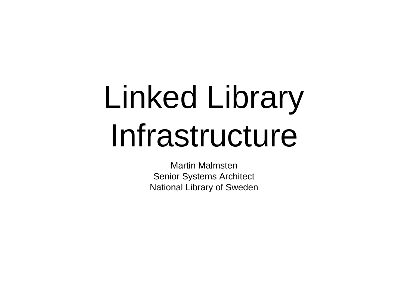#### Linked Library Infrastructure

Martin Malmsten Senior Systems Architect National Library of Sweden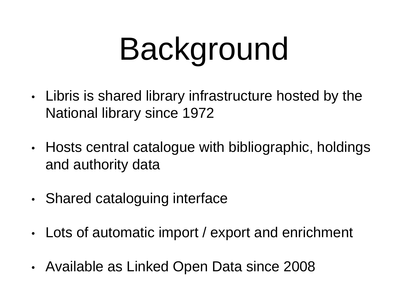# Background

- Libris is shared library infrastructure hosted by the National library since 1972
- Hosts central catalogue with bibliographic, holdings and authority data
- Shared cataloguing interface
- Lots of automatic import / export and enrichment
- Available as Linked Open Data since 2008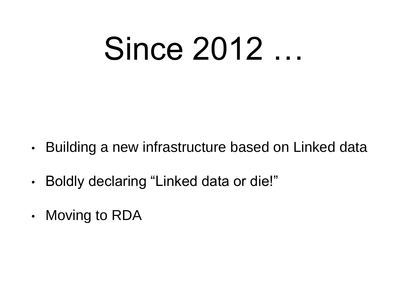#### Since 2012 …

- Building a new infrastructure based on Linked data
- Boldly declaring "Linked data or die!"
- Moving to RDA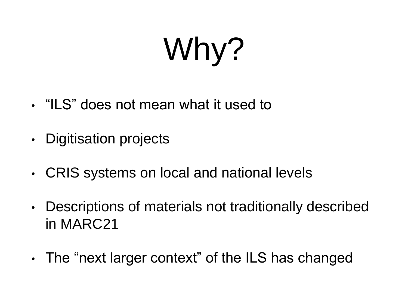# Why?

- "ILS" does not mean what it used to
- Digitisation projects
- CRIS systems on local and national levels
- Descriptions of materials not traditionally described in MARC21
- The "next larger context" of the ILS has changed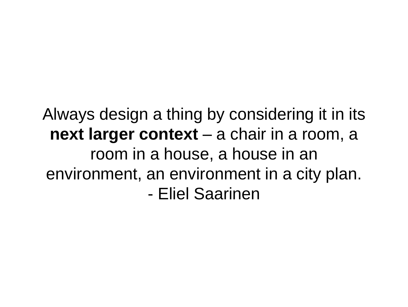Always design a thing by considering it in its **next larger context** – a chair in a room, a room in a house, a house in an environment, an environment in a city plan. - Eliel Saarinen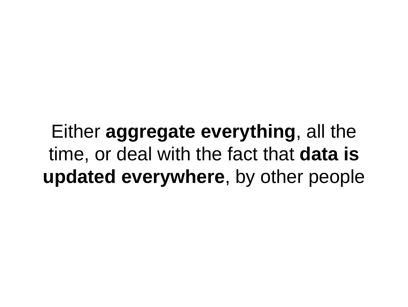Either **aggregate everything**, all the time, or deal with the fact that **data is updated everywhere**, by other people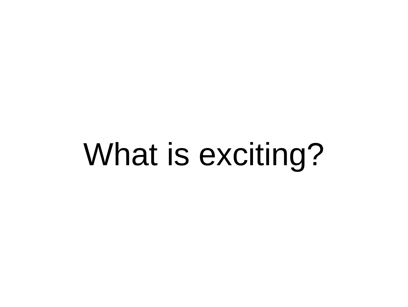## What is exciting?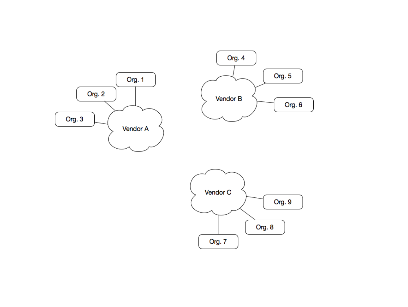

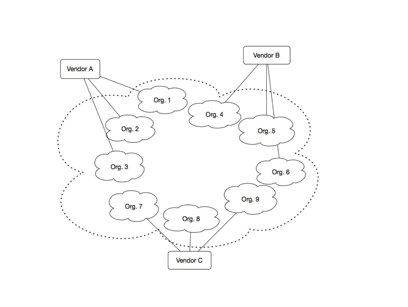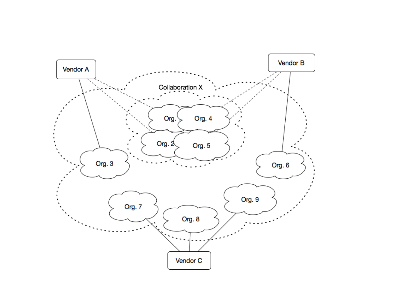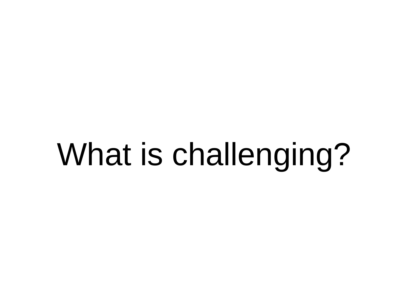## What is challenging?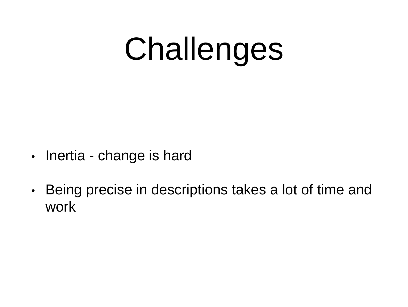#### Challenges

- Inertia change is hard
- Being precise in descriptions takes a lot of time and work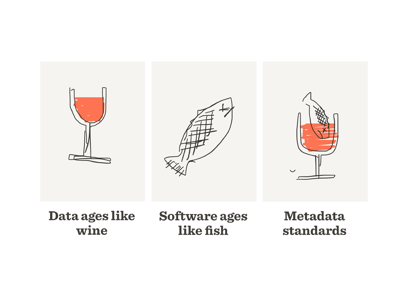

Data ages like wine

**Software ages** like fish

**Metadata** standards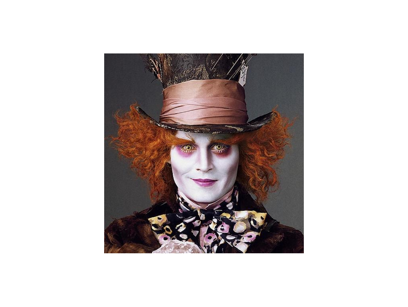